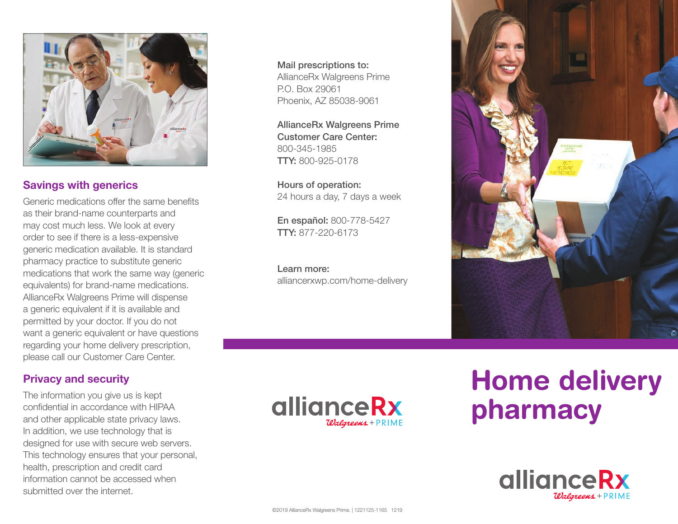

## Savings with generics

Generic medications offer the same benefits as their brand-name counterparts and may cost much less. We look at every order to see if there is a less-expensive generic medication available. It is standard pharmacy practice to substitute generic medications that work the same way (generic equivalents) for brand-name medications. AllianceRx Walgreens Prime will dispense a generic equivalent if it is available and permitted by your doctor. If you do not want a generic equivalent or have questions regarding your home delivery prescription, please call our Customer Care Center.

## Privacy and security

The information you give us is kept confidential in accordance with HIPAA and other applicable state privacy laws. In addition, we use technology that is designed for use with secure web servers. This technology ensures that your personal, health, prescription and credit card information cannot be accessed when submitted over the internet.

Mail prescriptions to: AllianceRx Walgreens Prime P.O. Box 29061 Phoenix, AZ 85038-9061

AllianceRx Walgreens Prime Customer Care Center: 800-345-1985 TTY: 800-925-0178

Hours of operation: 24 hours a day, 7 days a week

En español: 800-778-5427 TTY: 877-220-6173

Learn more: alliancerxwp.com/home-delivery





# Home delivery pharmacy